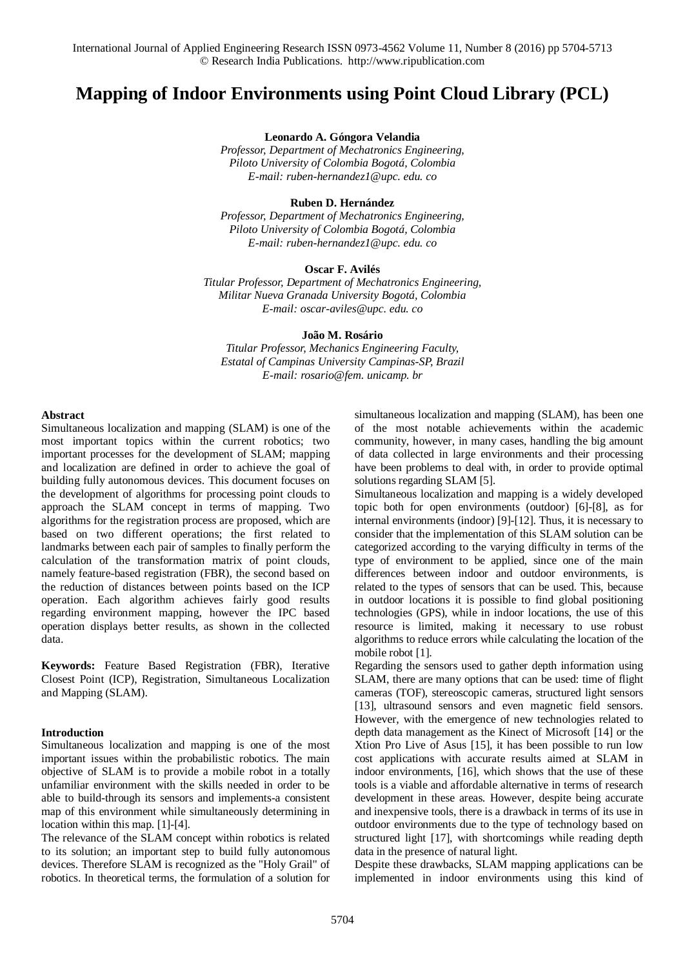# **Mapping of Indoor Environments using Point Cloud Library (PCL)**

**Leonardo A. Góngora Velandia**

*Professor, Department of Mechatronics Engineering, Piloto University of Colombia Bogotá, Colombia E-mail: [ruben-hernandez1@upc.](mailto:ruben-hernandez1@upc.edu.co) edu. co*

#### **Ruben D. Hernández**

*Professor, Department of Mechatronics Engineering, Piloto University of Colombia Bogotá, Colombia E-mail: [ruben-hernandez1@upc.](mailto:ruben-hernandez1@upc.edu.co) edu. co*

# **Oscar F. Avilés**

*Titular Professor, Department of Mechatronics Engineering, Militar Nueva Granada University Bogotá, Colombia E-mail: [oscar-aviles@upc.](mailto:oscar-aviles@upc.edu.co) edu. co*

## **João M. Rosário**

*Titular Professor, Mechanics Engineering Faculty, Estatal of Campinas University Campinas-SP, Brazil E-mail: [rosario@fem.](mailto:rosario@fem.unicamp.br) unicamp. br*

#### **Abstract**

Simultaneous localization and mapping (SLAM) is one of the most important topics within the current robotics; two important processes for the development of SLAM; mapping and localization are defined in order to achieve the goal of building fully autonomous devices. This document focuses on the development of algorithms for processing point clouds to approach the SLAM concept in terms of mapping. Two algorithms for the registration process are proposed, which are based on two different operations; the first related to landmarks between each pair of samples to finally perform the calculation of the transformation matrix of point clouds, namely feature-based registration (FBR), the second based on the reduction of distances between points based on the ICP operation. Each algorithm achieves fairly good results regarding environment mapping, however the IPC based operation displays better results, as shown in the collected data.

**Keywords:** Feature Based Registration (FBR), Iterative Closest Point (ICP), Registration, Simultaneous Localization and Mapping (SLAM).

#### **Introduction**

Simultaneous localization and mapping is one of the most important issues within the probabilistic robotics. The main objective of SLAM is to provide a mobile robot in a totally unfamiliar environment with the skills needed in order to be able to build-through its sensors and implements-a consistent map of this environment while simultaneously determining in location within this map. [1]-[4].

The relevance of the SLAM concept within robotics is related to its solution; an important step to build fully autonomous devices. Therefore SLAM is recognized as the "Holy Grail" of robotics. In theoretical terms, the formulation of a solution for simultaneous localization and mapping (SLAM), has been one of the most notable achievements within the academic community, however, in many cases, handling the big amount of data collected in large environments and their processing have been problems to deal with, in order to provide optimal solutions regarding SLAM [5].

Simultaneous localization and mapping is a widely developed topic both for open environments (outdoor) [6]-[8], as for internal environments (indoor) [9]-[12]. Thus, it is necessary to consider that the implementation of this SLAM solution can be categorized according to the varying difficulty in terms of the type of environment to be applied, since one of the main differences between indoor and outdoor environments, is related to the types of sensors that can be used. This, because in outdoor locations it is possible to find global positioning technologies (GPS), while in indoor locations, the use of this resource is limited, making it necessary to use robust algorithms to reduce errors while calculating the location of the mobile robot [1].

Regarding the sensors used to gather depth information using SLAM, there are many options that can be used: time of flight cameras (TOF), stereoscopic cameras, structured light sensors [13], ultrasound sensors and even magnetic field sensors. However, with the emergence of new technologies related to depth data management as the Kinect of Microsoft [14] or the Xtion Pro Live of Asus [15], it has been possible to run low cost applications with accurate results aimed at SLAM in indoor environments, [16], which shows that the use of these tools is a viable and affordable alternative in terms of research development in these areas. However, despite being accurate and inexpensive tools, there is a drawback in terms of its use in outdoor environments due to the type of technology based on structured light [17], with shortcomings while reading depth data in the presence of natural light.

Despite these drawbacks, SLAM mapping applications can be implemented in indoor environments using this kind of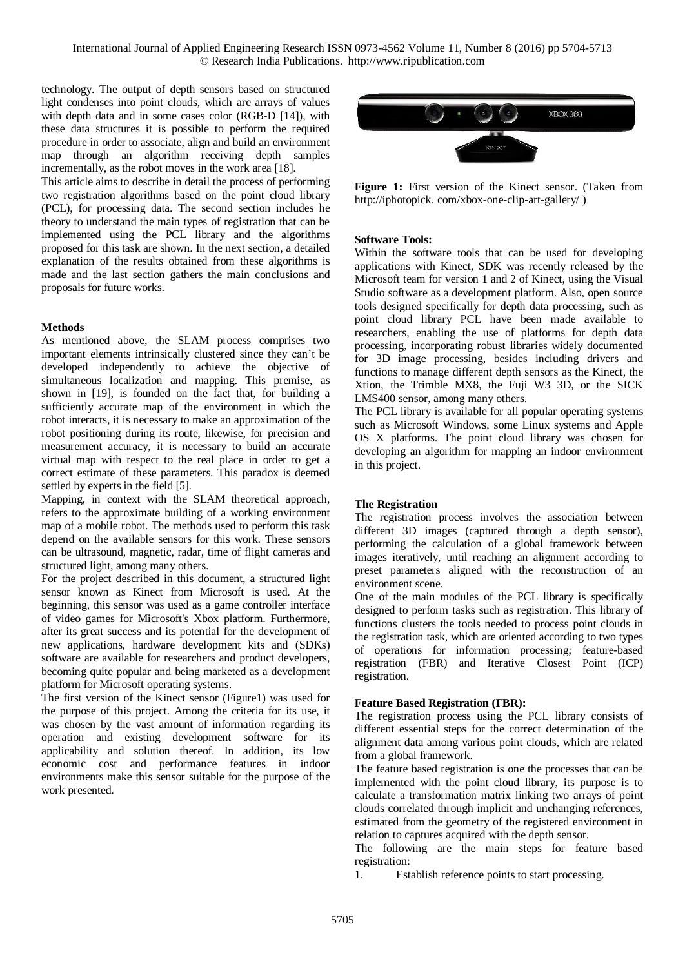technology. The output of depth sensors based on structured light condenses into point clouds, which are arrays of values with depth data and in some cases color (RGB-D [14]), with these data structures it is possible to perform the required procedure in order to associate, align and build an environment map through an algorithm receiving depth samples incrementally, as the robot moves in the work area [18].

This article aims to describe in detail the process of performing two registration algorithms based on the point cloud library (PCL), for processing data. The second section includes he theory to understand the main types of registration that can be implemented using the PCL library and the algorithms proposed for this task are shown. In the next section, a detailed explanation of the results obtained from these algorithms is made and the last section gathers the main conclusions and proposals for future works.

# **Methods**

As mentioned above, the SLAM process comprises two important elements intrinsically clustered since they can't be developed independently to achieve the objective of simultaneous localization and mapping. This premise, as shown in [19], is founded on the fact that, for building a sufficiently accurate map of the environment in which the robot interacts, it is necessary to make an approximation of the robot positioning during its route, likewise, for precision and measurement accuracy, it is necessary to build an accurate virtual map with respect to the real place in order to get a correct estimate of these parameters. This paradox is deemed settled by experts in the field [5].

Mapping, in context with the SLAM theoretical approach, refers to the approximate building of a working environment map of a mobile robot. The methods used to perform this task depend on the available sensors for this work. These sensors can be ultrasound, magnetic, radar, time of flight cameras and structured light, among many others.

For the project described in this document, a structured light sensor known as Kinect from Microsoft is used. At the beginning, this sensor was used as a game controller interface of video games for Microsoft's Xbox platform. Furthermore, after its great success and its potential for the development of new applications, hardware development kits and (SDKs) software are available for researchers and product developers, becoming quite popular and being marketed as a development platform for Microsoft operating systems.

The first version of the Kinect sensor (Figure1) was used for the purpose of this project. Among the criteria for its use, it was chosen by the vast amount of information regarding its operation and existing development software for its applicability and solution thereof. In addition, its low economic cost and performance features in indoor environments make this sensor suitable for the purpose of the work presented.



**Figure 1:** First version of the Kinect sensor. (Taken from http://iphotopick. [com/xbox-one-clip-art-gallery/](https://translate.google.com/translate?hl=en&prev=_t&sl=es&tl=en&u=http://iphotopick.com/xbox-one-clip-art-gallery/) )

# **Software Tools:**

Within the software tools that can be used for developing applications with Kinect, SDK was recently released by the Microsoft team for version 1 and 2 of Kinect, using the Visual Studio software as a development platform. Also, open source tools designed specifically for depth data processing, such as point cloud library PCL have been made available to researchers, enabling the use of platforms for depth data processing, incorporating robust libraries widely documented for 3D image processing, besides including drivers and functions to manage different depth sensors as the Kinect, the Xtion, the Trimble MX8, the Fuji W3 3D, or the SICK LMS400 sensor, among many others.

The PCL library is available for all popular operating systems such as Microsoft Windows, some Linux systems and Apple OS X platforms. The point cloud library was chosen for developing an algorithm for mapping an indoor environment in this project.

# **The Registration**

The registration process involves the association between different 3D images (captured through a depth sensor), performing the calculation of a global framework between images iteratively, until reaching an alignment according to preset parameters aligned with the reconstruction of an environment scene.

One of the main modules of the PCL library is specifically designed to perform tasks such as registration. This library of functions clusters the tools needed to process point clouds in the registration task, which are oriented according to two types of operations for information processing; feature-based registration (FBR) and Iterative Closest Point (ICP) registration.

#### **Feature Based Registration (FBR):**

The registration process using the PCL library consists of different essential steps for the correct determination of the alignment data among various point clouds, which are related from a global framework.

The feature based registration is one the processes that can be implemented with the point cloud library, its purpose is to calculate a transformation matrix linking two arrays of point clouds correlated through implicit and unchanging references, estimated from the geometry of the registered environment in relation to captures acquired with the depth sensor.

The following are the main steps for feature based registration:

1. Establish reference points to start processing.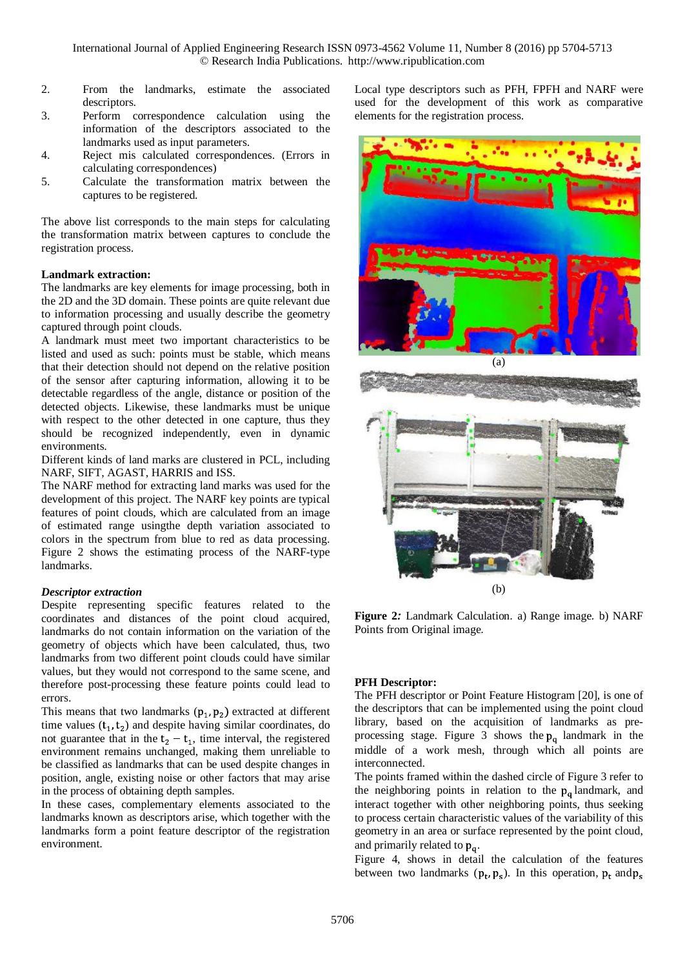- 2. From the landmarks, estimate the associated descriptors.
- 3. Perform correspondence calculation using the information of the descriptors associated to the landmarks used as input parameters.
- 4. Reject mis calculated correspondences. (Errors in calculating correspondences)
- 5. Calculate the transformation matrix between the captures to be registered.

The above list corresponds to the main steps for calculating the transformation matrix between captures to conclude the registration process.

# **Landmark extraction:**

The landmarks are key elements for image processing, both in the 2D and the 3D domain. These points are quite relevant due to information processing and usually describe the geometry captured through point clouds.

A landmark must meet two important characteristics to be listed and used as such: points must be stable, which means that their detection should not depend on the relative position of the sensor after capturing information, allowing it to be detectable regardless of the angle, distance or position of the detected objects. Likewise, these landmarks must be unique with respect to the other detected in one capture, thus they should be recognized independently, even in dynamic environments.

Different kinds of land marks are clustered in PCL, including NARF, SIFT, AGAST, HARRIS and ISS.

The NARF method for extracting land marks was used for the development of this project. The NARF key points are typical features of point clouds, which are calculated from an image of estimated range usingthe depth variation associated to colors in the spectrum from blue to red as data processing. Figure 2 shows the estimating process of the NARF-type landmarks.

# *Descriptor extraction*

Despite representing specific features related to the coordinates and distances of the point cloud acquired, landmarks do not contain information on the variation of the geometry of objects which have been calculated, thus, two landmarks from two different point clouds could have similar values, but they would not correspond to the same scene, and therefore post-processing these feature points could lead to errors.

This means that two landmarks  $(p_1, p_2)$  extracted at different time values  $(t_1, t_2)$  and despite having similar coordinates, do not guarantee that in the  $t_2 - t_1$ , time interval, the registered environment remains unchanged, making them unreliable to be classified as landmarks that can be used despite changes in position, angle, existing noise or other factors that may arise in the process of obtaining depth samples.

In these cases, complementary elements associated to the landmarks known as descriptors arise, which together with the landmarks form a point feature descriptor of the registration environment.

Local type descriptors such as PFH, FPFH and NARF were used for the development of this work as comparative elements for the registration process.



**Figure 2***:* Landmark Calculation*.* a) Range image*.* b) NARF Points from Original image*.*

# **PFH Descriptor:**

The PFH descriptor or Point Feature Histogram [20], is one of the descriptors that can be implemented using the point cloud library, based on the acquisition of landmarks as preprocessing stage. Figure 3 shows the  $p_a$  landmark in the middle of a work mesh, through which all points are interconnected.

The points framed within the dashed circle of Figure 3 refer to the neighboring points in relation to the  $p_a$  landmark, and interact together with other neighboring points, thus seeking to process certain characteristic values of the variability of this geometry in an area or surface represented by the point cloud, and primarily related to  $p_q$ .

Figure 4, shows in detail the calculation of the features between two landmarks  $(p_t, p_s)$ . In this operation,  $p_t$  and  $p_s$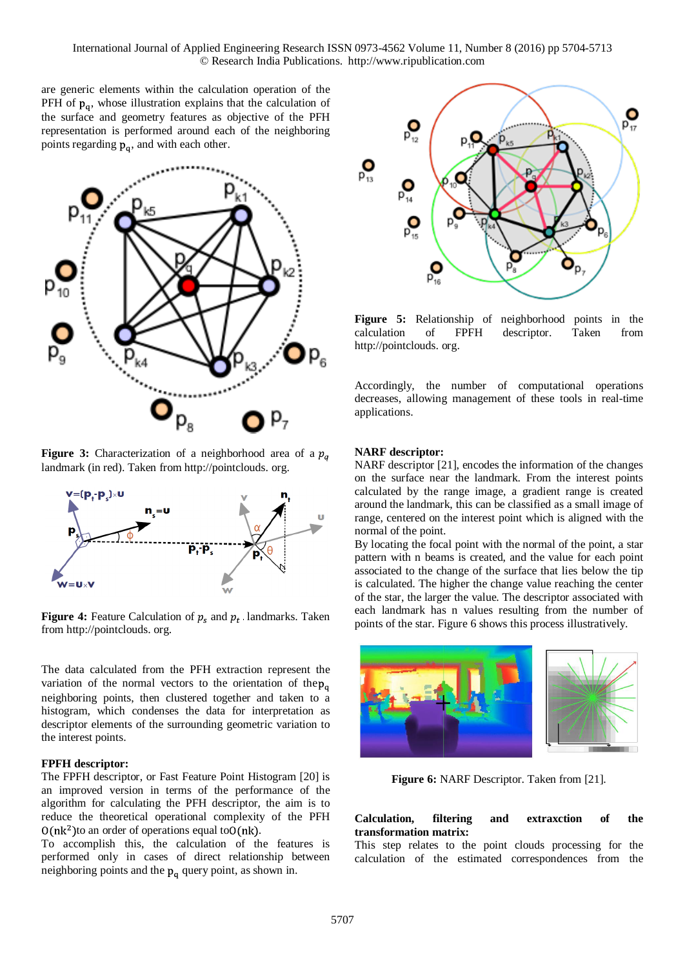are generic elements within the calculation operation of the PFH of  $p_q$ , whose illustration explains that the calculation of the surface and geometry features as objective of the PFH representation is performed around each of the neighboring points regarding  $p_a$ , and with each other.



**Figure 3:** Characterization of a neighborhood area of a  $p_a$ landmark (in red). Taken from [http://pointclouds.](https://translate.google.com/translate?hl=en&prev=_t&sl=es&tl=en&u=http://pointclouds.org/) org.



**Figure 4:** Feature Calculation of  $p_s$  and  $p_t$ . landmarks. Taken from [http://pointclouds.](https://translate.google.com/translate?hl=en&prev=_t&sl=es&tl=en&u=http://pointclouds.org/) org.

The data calculated from the PFH extraction represent the variation of the normal vectors to the orientation of the  $p_{\alpha}$ neighboring points, then clustered together and taken to a histogram, which condenses the data for interpretation as descriptor elements of the surrounding geometric variation to the interest points.

#### **FPFH descriptor:**

The FPFH descriptor, or Fast Feature Point Histogram [20] is an improved version in terms of the performance of the algorithm for calculating the PFH descriptor, the aim is to reduce the theoretical operational complexity of the PFH  $O(nk^2)$  to an order of operations equal to  $O(nk)$ .

To accomplish this, the calculation of the features is performed only in cases of direct relationship between neighboring points and the  $p_q$  query point, as shown in.



**Figure 5:** Relationship of neighborhood points in the calculation of FPFH descriptor. Taken from [http://pointclouds.](https://translate.google.com/translate?hl=en&prev=_t&sl=es&tl=en&u=http://pointclouds.org/) org.

Accordingly, the number of computational operations decreases, allowing management of these tools in real-time applications.

#### **NARF descriptor:**

NARF descriptor [21], encodes the information of the changes on the surface near the landmark. From the interest points calculated by the range image, a gradient range is created around the landmark, this can be classified as a small image of range, centered on the interest point which is aligned with the normal of the point.

By locating the focal point with the normal of the point, a star pattern with n beams is created, and the value for each point associated to the change of the surface that lies below the tip is calculated. The higher the change value reaching the center of the star, the larger the value. The descriptor associated with each landmark has n values resulting from the number of points of the star. Figure 6 shows this process illustratively.



**Figure 6:** NARF Descriptor. Taken from [21].

## **Calculation, filtering and extraxction of the transformation matrix:**

This step relates to the point clouds processing for the calculation of the estimated correspondences from the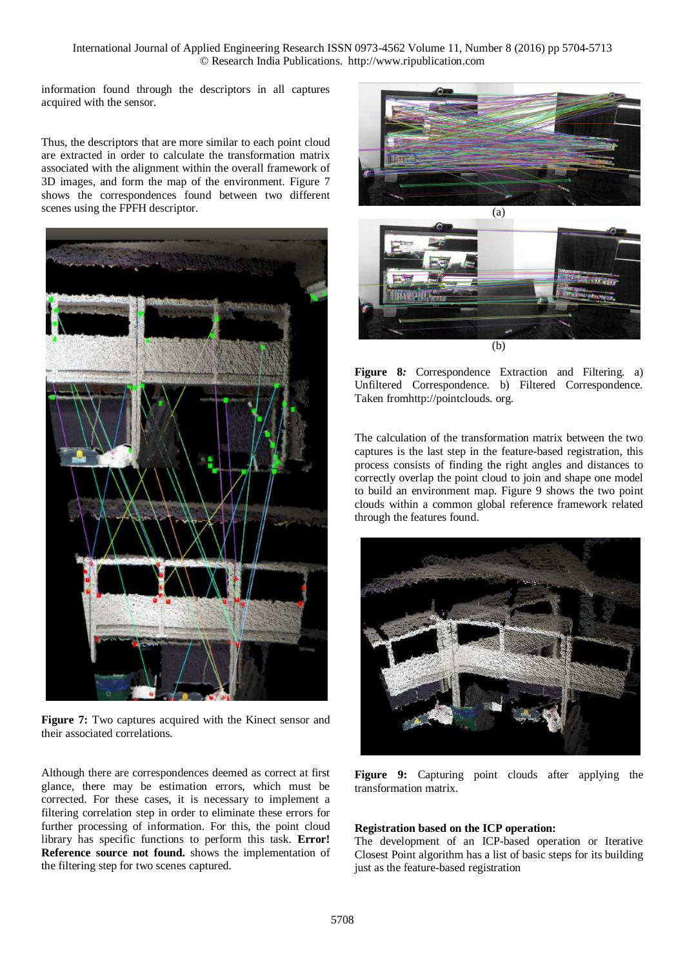information found through the descriptors in all captures acquired with the sensor.

Thus, the descriptors that are more similar to each point cloud are extracted in order to calculate the transformation matrix associated with the alignment within the overall framework of 3D images, and form the map of the environment. Figure 7 shows the correspondences found between two different scenes using the FPFH descriptor.



**Figure 7:** Two captures acquired with the Kinect sensor and their associated correlations.

Although there are correspondences deemed as correct at first glance, there may be estimation errors, which must be corrected. For these cases, it is necessary to implement a filtering correlation step in order to eliminate these errors for further processing of information. For this, the point cloud library has specific functions to perform this task. **Error! Reference source not found.** shows the implementation of the filtering step for two scenes captured.





**Figure 8***:* Correspondence Extraction and Filtering*.* a) Unfiltered Correspondence*.* b) Filtered Correspondence*.* Taken fro[mhttp://pointclouds](https://translate.google.com/translate?hl=en&prev=_t&sl=es&tl=en&u=http://pointclouds.org/)*.* org*.*

The calculation of the transformation matrix between the two captures is the last step in the feature-based registration, this process consists of finding the right angles and distances to correctly overlap the point cloud to join and shape one model to build an environment map. [Figure](https://translate.googleusercontent.com/translate_f#_Ref426808294) 9 shows the two point clouds within a common global reference framework related through the features found.



**Figure 9:** Capturing point clouds after applying the transformation matrix.

#### **Registration based on the ICP operation:**

The development of an ICP-based operation or Iterative Closest Point algorithm has a list of basic steps for its building just as the feature-based registration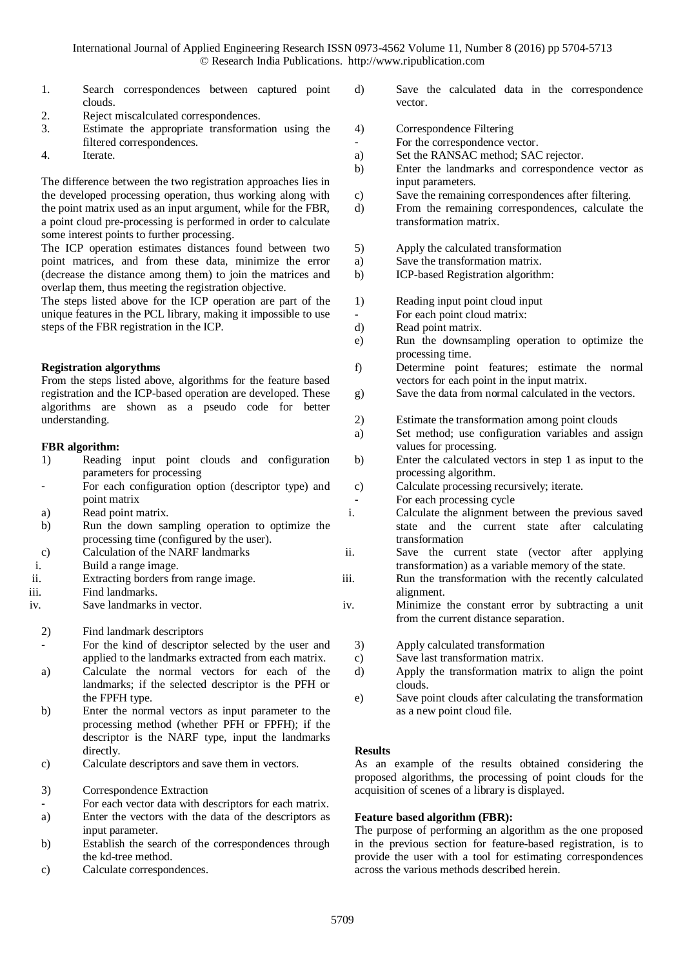- 1. Search correspondences between captured point clouds.
- 2. Reject miscalculated correspondences.
- 3. Estimate the appropriate transformation using the filtered correspondences.
- 4. Iterate.

The difference between the two registration approaches lies in the developed processing operation, thus working along with the point matrix used as an input argument, while for the FBR, a point cloud pre-processing is performed in order to calculate some interest points to further processing.

The ICP operation estimates distances found between two point matrices, and from these data, minimize the error (decrease the distance among them) to join the matrices and overlap them, thus meeting the registration objective.

The steps listed above for the ICP operation are part of the unique features in the PCL library, making it impossible to use steps of the FBR registration in the ICP.

# **Registration algorythms**

From the steps listed above, algorithms for the feature based registration and the ICP-based operation are developed. These algorithms are shown as a pseudo code for better understanding.

# **FBR algorithm:**

- 1) Reading input point clouds and configuration parameters for processing
- For each configuration option (descriptor type) and point matrix
- a) Read point matrix.
- b) Run the down sampling operation to optimize the processing time (configured by the user).
- c) Calculation of the NARF landmarks
- i. Build a range image.
- ii. Extracting borders from range image.
- iii. Find landmarks.
- iv. Save landmarks in vector.
	- 2) Find landmark descriptors
	- For the kind of descriptor selected by the user and applied to the landmarks extracted from each matrix.
	- a) Calculate the normal vectors for each of the landmarks; if the selected descriptor is the PFH or the FPFH type.
	- b) Enter the normal vectors as input parameter to the processing method (whether PFH or FPFH); if the descriptor is the NARF type, input the landmarks directly.
	- c) Calculate descriptors and save them in vectors.
	- 3) Correspondence Extraction
	- For each vector data with descriptors for each matrix.
	- a) Enter the vectors with the data of the descriptors as input parameter.
	- b) Establish the search of the correspondences through the kd-tree method.
	- c) Calculate correspondences.
- d) Save the calculated data in the correspondence vector.
- 4) Correspondence Filtering
- For the correspondence vector.
- a) Set the RANSAC method; SAC rejector.
- b) Enter the landmarks and correspondence vector as input parameters.
- c) Save the remaining correspondences after filtering.
- d) From the remaining correspondences, calculate the transformation matrix.
- 5) Apply the calculated transformation
- a) Save the transformation matrix.
- b) ICP-based Registration algorithm:
- 1) Reading input point cloud input
- For each point cloud matrix:<br>d) Read point matrix.
- Read point matrix.
- e) Run the downsampling operation to optimize the processing time.
- f) Determine point features; estimate the normal vectors for each point in the input matrix.
- g) Save the data from normal calculated in the vectors.
- 2) Estimate the transformation among point clouds
- a) Set method; use configuration variables and assign values for processing.
- b) Enter the calculated vectors in step 1 as input to the processing algorithm.
- c) Calculate processing recursively; iterate.
- For each processing cycle
- i. Calculate the alignment between the previous saved state and the current state after calculating transformation
- ii. Save the current state (vector after applying transformation) as a variable memory of the state.
- iii. Run the transformation with the recently calculated alignment.
- iv. Minimize the constant error by subtracting a unit from the current distance separation.
	- 3) Apply calculated transformation
	- c) Save last transformation matrix.
	- d) Apply the transformation matrix to align the point clouds.
	- e) Save point clouds after calculating the transformation as a new point cloud file.

#### **Results**

As an example of the results obtained considering the proposed algorithms, the processing of point clouds for the acquisition of scenes of a library is displayed.

# **Feature based algorithm (FBR):**

The purpose of performing an algorithm as the one proposed in the previous section for feature-based registration, is to provide the user with a tool for estimating correspondences across the various methods described herein.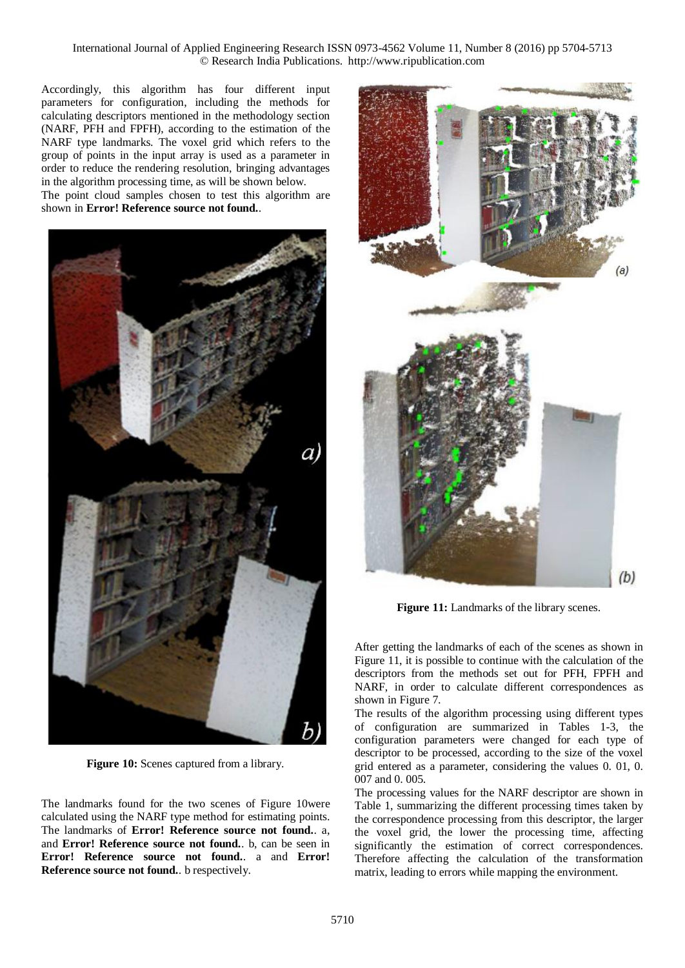Accordingly, this algorithm has four different input parameters for configuration, including the methods for calculating descriptors mentioned in the methodology section (NARF, PFH and FPFH), according to the estimation of the NARF type landmarks. The voxel grid which refers to the group of points in the input array is used as a parameter in order to reduce the rendering resolution, bringing advantages in the algorithm processing time, as will be shown below. The point cloud samples chosen to test this algorithm are shown in **Error! Reference source not found.**.



**Figure 10:** Scenes captured from a library.

The landmarks found for the two scenes of Figure 10were calculated using the NARF type method for estimating points. The landmarks of **Error! Reference source not found.**. a, and **Error! Reference source not found.**. b, can be seen in **Error! Reference source not found.**. a and **Error! Reference source not found.**. b respectively.



**Figure 11:** Landmarks of the library scenes.

After getting the landmarks of each of the scenes as shown in Figure 11, it is possible to continue with the calculation of the descriptors from the methods set out for PFH, FPFH and NARF, in order to calculate different correspondences as shown in Figure 7.

The results of the algorithm processing using different types of configuration are summarized in Tables 1-3, the configuration parameters were changed for each type of descriptor to be processed, according to the size of the voxel grid entered as a parameter, considering the values 0. 01, 0. 007 and 0. 005.

The processing values for the NARF descriptor are shown in Table 1, summarizing the different processing times taken by the correspondence processing from this descriptor, the larger the voxel grid, the lower the processing time, affecting significantly the estimation of correct correspondences. Therefore affecting the calculation of the transformation matrix, leading to errors while mapping the environment.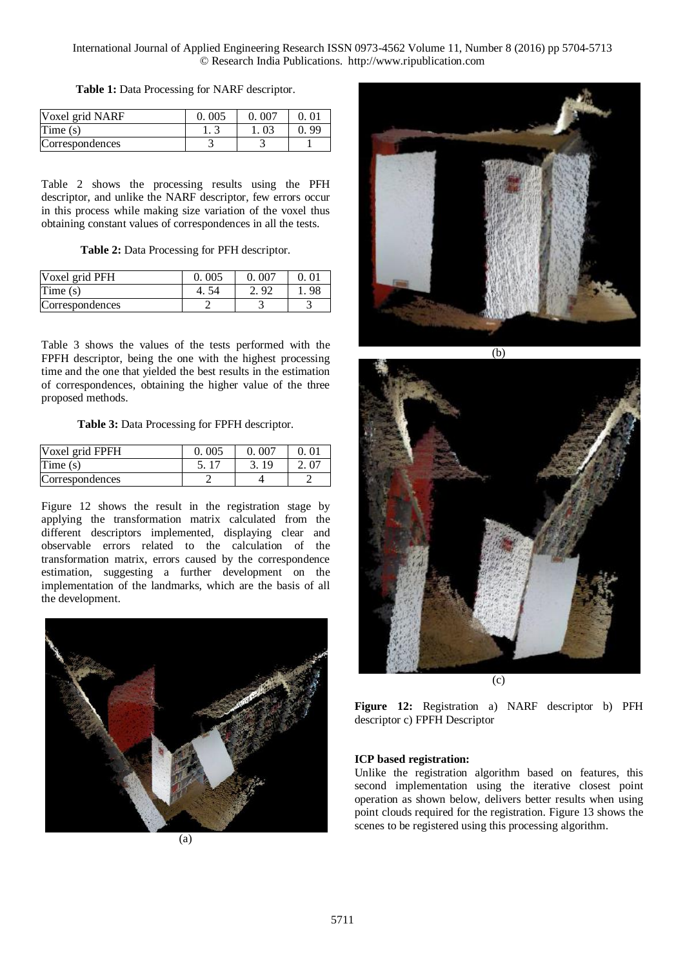| Voxel grid NARF | 0.005 | 0.007 |    |
|-----------------|-------|-------|----|
| Time(s)         |       |       | QC |
| Correspondences |       |       |    |

Table 2 shows the processing results using the PFH descriptor, and unlike the NARF descriptor, few errors occur in this process while making size variation of the voxel thus obtaining constant values of correspondences in all the tests.

**Table 2:** Data Processing for PFH descriptor.

| Voxel grid PFH  | 0.005 | 0.007 |     |
|-----------------|-------|-------|-----|
| Time(s)         |       |       | -98 |
| Correspondences |       |       |     |

Table 3 shows the values of the tests performed with the FPFH descriptor, being the one with the highest processing time and the one that yielded the best results in the estimation of correspondences, obtaining the higher value of the three proposed methods.

**Table 3:** Data Processing for FPFH descriptor.

| Voxel grid FPFH | 0.005 | 0.007 |  |
|-----------------|-------|-------|--|
| Time(s)         |       |       |  |
| Correspondences |       |       |  |

Figure 12 shows the result in the registration stage by applying the transformation matrix calculated from the different descriptors implemented, displaying clear and observable errors related to the calculation of the transformation matrix, errors caused by the correspondence estimation, suggesting a further development on the implementation of the landmarks, which are the basis of all the development.









**Figure 12:** Registration a) NARF descriptor b) PFH descriptor c) FPFH Descriptor

# **ICP based registration:**

Unlike the registration algorithm based on features, this second implementation using the iterative closest point operation as shown below, delivers better results when using point clouds required for the registration. Figure 13 shows the scenes to be registered using this processing algorithm.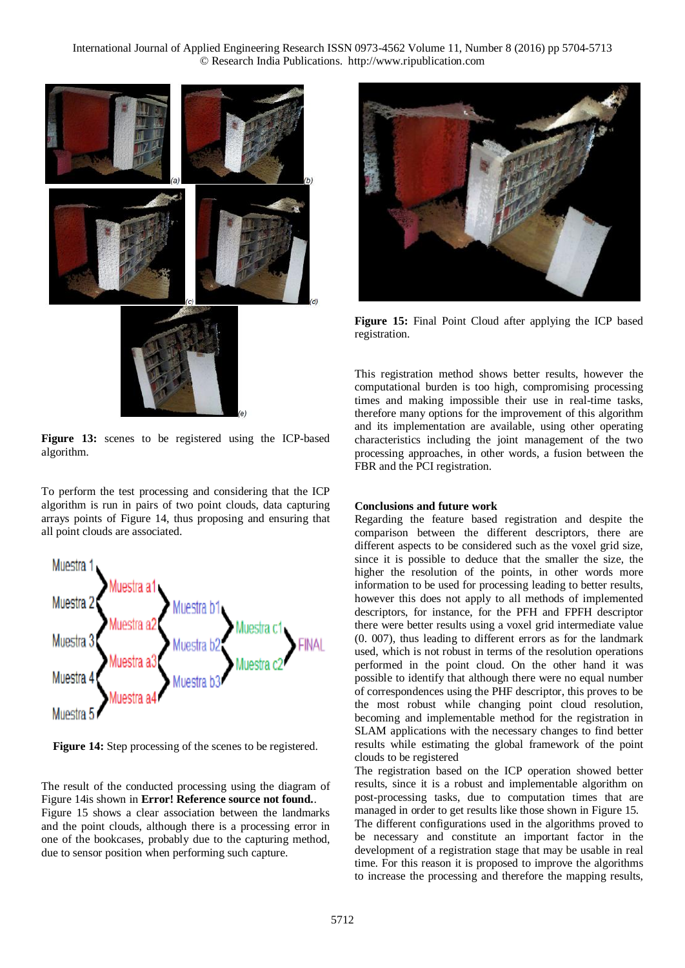

**Figure 13:** scenes to be registered using the ICP-based algorithm.

To perform the test processing and considering that the ICP algorithm is run in pairs of two point clouds, data capturing arrays points of Figure 14, thus proposing and ensuring that all point clouds are associated.



**Figure 14:** Step processing of the scenes to be registered.

The result of the conducted processing using the diagram of Figure 14is shown in **Error! Reference source not found.**. Figure 15 shows a clear association between the landmarks and the point clouds, although there is a processing error in one of the bookcases, probably due to the capturing method, due to sensor position when performing such capture.



**Figure 15:** Final Point Cloud after applying the ICP based registration.

This registration method shows better results, however the computational burden is too high, compromising processing times and making impossible their use in real-time tasks, therefore many options for the improvement of this algorithm and its implementation are available, using other operating characteristics including the joint management of the two processing approaches, in other words, a fusion between the FBR and the PCI registration.

# **Conclusions and future work**

Regarding the feature based registration and despite the comparison between the different descriptors, there are different aspects to be considered such as the voxel grid size, since it is possible to deduce that the smaller the size, the higher the resolution of the points, in other words more information to be used for processing leading to better results, however this does not apply to all methods of implemented descriptors, for instance, for the PFH and FPFH descriptor there were better results using a voxel grid intermediate value (0. 007), thus leading to different errors as for the landmark used, which is not robust in terms of the resolution operations performed in the point cloud. On the other hand it was possible to identify that although there were no equal number of correspondences using the PHF descriptor, this proves to be the most robust while changing point cloud resolution, becoming and implementable method for the registration in SLAM applications with the necessary changes to find better results while estimating the global framework of the point clouds to be registered

The registration based on the ICP operation showed better results, since it is a robust and implementable algorithm on post-processing tasks, due to computation times that are managed in order to get results like those shown in Figure 15. The different configurations used in the algorithms proved to be necessary and constitute an important factor in the development of a registration stage that may be usable in real time. For this reason it is proposed to improve the algorithms

to increase the processing and therefore the mapping results,